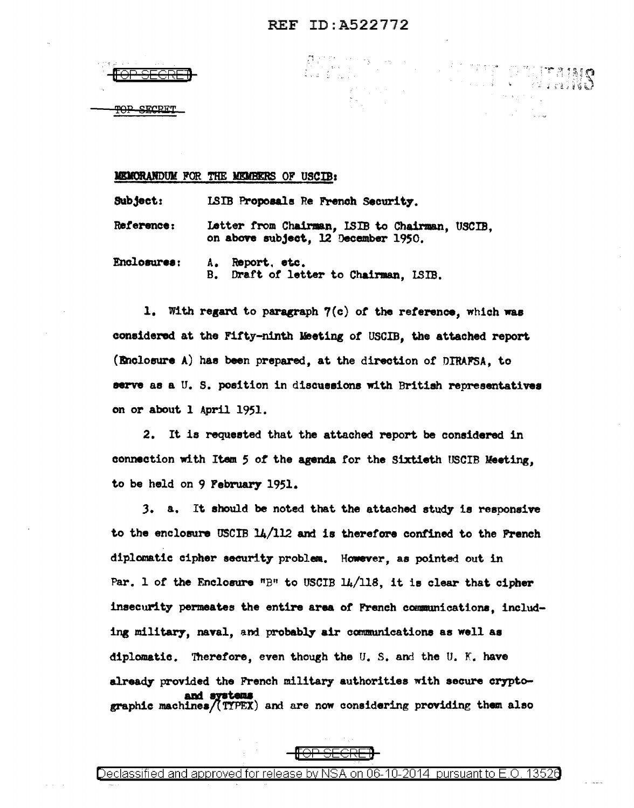$\bigwedge_{i=1}^m\bigwedge_{j=1}^{m+1}\bigwedge_{j=1}^{m+1}\bigwedge_{j=1}^{m+1}\bigwedge_{j=1}^{m+1}\bigwedge_{j=1}^{m+1}\bigwedge_{j=1}^{m+1}\bigwedge_{j=1}^{m+1}\bigwedge_{j=1}^{m+1}\bigwedge_{j=1}^{m+1}\bigwedge_{j=1}^{m+1}\bigwedge_{j=1}^{m+1}\bigwedge_{j=1}^{m+1}\bigwedge_{j=1}^{m+1}\bigwedge_{j=1}^{m+1}\bigwedge_{j=1}^{m+1}\bigwedge_{j=1}^{m+1}\$ 

 $\label{eq:2} \begin{array}{ll} \mathbb{E}\left[\frac{1}{2}\sum_{i=1}^{n} \sum_{j=1}^{n} \sum_{j=1}^{n} \sum_{j=1}^{n} \sum_{j=1}^{n} \sum_{j=1}^{n} \sum_{j=1}^{n} \sum_{j=1}^{n} \sum_{j=1}^{n} \sum_{j=1}^{n} \sum_{j=1}^{n} \sum_{j=1}^{n} \sum_{j=1}^{n} \sum_{j=1}^{n} \sum_{j=1}^{n} \sum_{j=1}^{n} \sum_{j=1}^{n} \sum_{j=1}^{n} \sum_{j=1}^{n} \sum_{$ 



**SECRET** 

#### MEMORANDUM FOR THE MEMBERS OF USCIB:

Subject: ISIB Proposals Re French Security.

Letter from Chairman, ISIB to Chairman, USCIB, Reference: on above subject, 12 December 1950.

Enclosures: Report, etc.  $A_{\bullet}$  $B_{\bullet}$ Draft of letter to Chairman. ISIB.

1. With regard to paragraph 7(c) of the reference, which was considered at the Fifty-ninth Meeting of USCIB. the attached report (Enclosure A) has been prepared, at the direction of DIRAFSA, to serve as a U. S. position in discussions with British representatives on or about 1 April 1951.

2. It is requested that the attached report be considered in connection with Item 5 of the agenda for the Sixtieth USCIB Meeting. to be held on 9 February 1951.

3. a. It should be noted that the attached study is responsive to the enclosure USCIB 14/112 and is therefore confined to the French diplomatic cipher security problem. However, as pointed out in Par. 1 of the Enclosure "B" to USCIB 14/118. it is clear that cipher insecurity permeates the entire area of French communications, including military, naval, and probably air communications as well as diplomatic. Therefore, even though the U.S. and the U.K. have already provided the French military authorities with secure cryptoand systems graphic machines/(TYPEX) and are now considering providing them also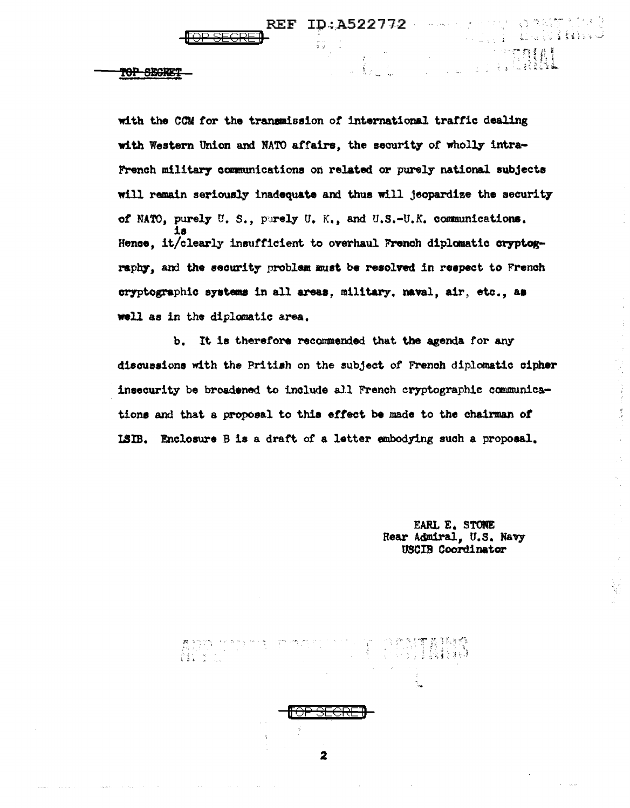$\mathcal{U}_\ell$ 

#### TOP SEGRE!

 $\begin{array}{l} \begin{array}{c} \mathcal{B} \to \mathbb{Z} \to \mathbb{Z} \to \mathbb{Z} \to \mathbb{Z} \to \mathbb{Z} \to \mathbb{Z} \to \mathbb{Z} \to \mathbb{Z} \to \mathbb{Z} \to \mathbb{Z} \to \mathbb{Z} \to \mathbb{Z} \to \mathbb{Z} \to \mathbb{Z} \to \mathbb{Z} \to \mathbb{Z} \to \mathbb{Z} \to \mathbb{Z} \to \mathbb{Z} \to \mathbb{Z} \to \mathbb{Z} \to \mathbb{Z} \to \mathbb{Z} \to \mathbb{Z} \to \mathbb{Z}$ 

with the CCM for the transmission of international traffic dealing with Western Union and NATO affairs, the security of wholly intra-French military communications on related or purely national subjects will remain seriously inadequate and thus will jeopardize the security of NATO, purely U.S., purely U.K., and U.S.-U.K. communications. Hence, it/clearly insufficient to overhaul French diplomatic cryptography, and the security problem must be resolved in respect to French cryptographic systems in all areas, military, naval, air, etc., as well as in the diplomatic area.

b. It is therefore recommended that the agenda for any discussions with the Pritish on the subject of French diplomatic cipher insecurity be broadened to include all French cryptographic communications and that a proposal to this effect be made to the chairman of ISIB. Enclosure B is a draft of a letter embodying such a proposal.

 $\mathbf{2}$ 

EARL E. STORE Rear Admiral, U.S. Navy USCIB Coordinator

e e e propria del 1990.<br>L<sub>a po</sub>lo de la SV **los s**tanda

医心室 医皮肤病 医心房

**TENN**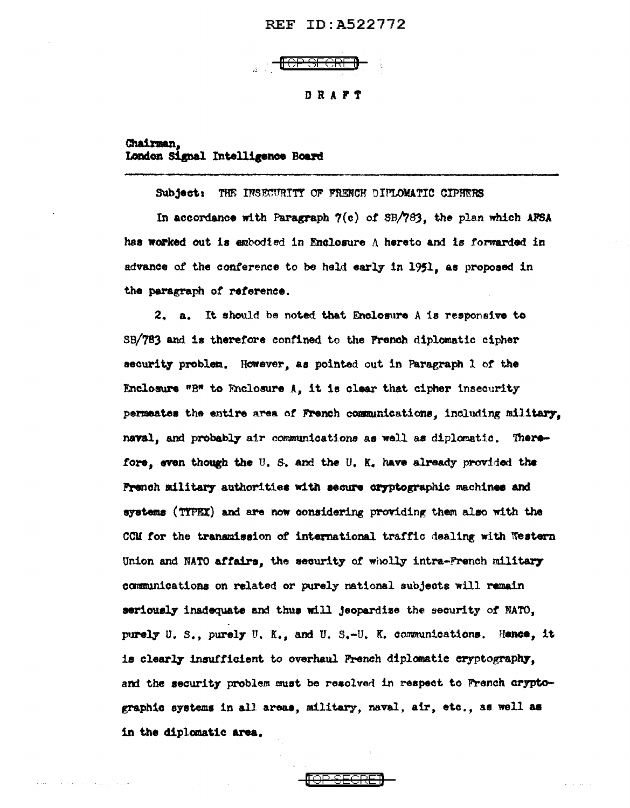# **REF ID: A522772**



# Chairman. London Signal Intelligence Board

Subject: THE INSECURITY OF FRENCH DIFLOMATIC CIPHERS

In accordance with Paragraph 7(c) of SB/763, the plan which AFSA has worked out is embodied in Enclosure A hereto and is forwarded in advance of the conference to be held early in 1951, as proposed in the paragraph of reference.

2. a. It should be noted that Enclosure A is responsive to SB/783 and is therefore confined to the French diplomatic cipher security problem. However, as pointed out in Paragraph 1 of the Enclosure "B" to Enclosure A, it is clear that cipher insecurity permeates the entire area of French communications, including military. naval, and probably air communications as well as diplomatic. Therefore, even though the U.S. and the U.K. have already provided the French military authorities with secure cryptographic machines and systems (TIPEX) and are now considering providing them also with the CCM for the transmission of international traffic dealing with Western Union and NATO affairs, the security of wholly intra-French military communications on related or purely national subjects will remain seriously inadequate and thus will jeopardize the security of NATO. purely U.S., purely U.K., and U.S.-U.K. communications. Hence, it is clearly insufficient to overhaul French diplomatic cryptography. and the security problem must be resolved in respect to French dryptographic systems in all areas, military, naval, air, etc., as well as in the diplomatic area.